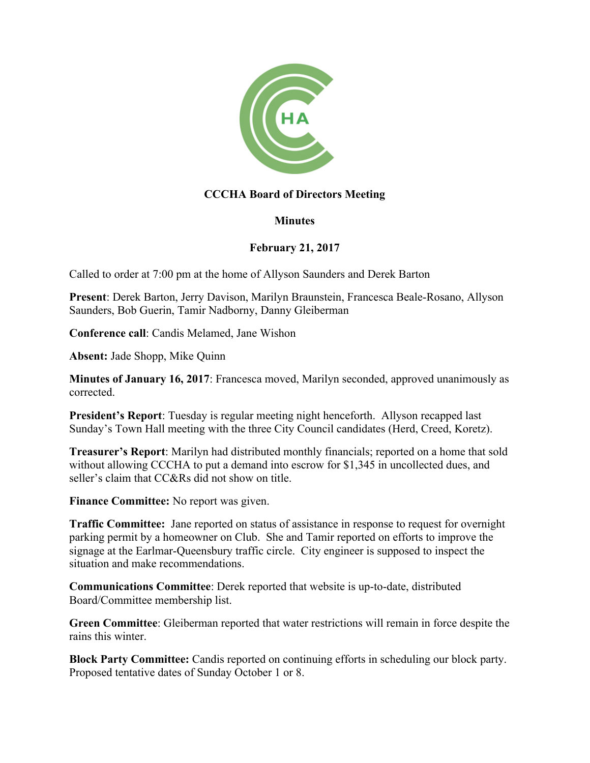

## **CCCHA Board of Directors Meeting**

## **Minutes**

## **February 21, 2017**

Called to order at 7:00 pm at the home of Allyson Saunders and Derek Barton

**Present**: Derek Barton, Jerry Davison, Marilyn Braunstein, Francesca Beale-Rosano, Allyson Saunders, Bob Guerin, Tamir Nadborny, Danny Gleiberman

**Conference call**: Candis Melamed, Jane Wishon

**Absent:** Jade Shopp, Mike Quinn

**Minutes of January 16, 2017**: Francesca moved, Marilyn seconded, approved unanimously as corrected.

**President's Report**: Tuesday is regular meeting night henceforth. Allyson recapped last Sunday's Town Hall meeting with the three City Council candidates (Herd, Creed, Koretz).

**Treasurer's Report**: Marilyn had distributed monthly financials; reported on a home that sold without allowing CCCHA to put a demand into escrow for \$1,345 in uncollected dues, and seller's claim that CC&Rs did not show on title.

**Finance Committee:** No report was given.

**Traffic Committee:** Jane reported on status of assistance in response to request for overnight parking permit by a homeowner on Club. She and Tamir reported on efforts to improve the signage at the Earlmar-Queensbury traffic circle. City engineer is supposed to inspect the situation and make recommendations.

**Communications Committee**: Derek reported that website is up-to-date, distributed Board/Committee membership list.

**Green Committee**: Gleiberman reported that water restrictions will remain in force despite the rains this winter.

**Block Party Committee:** Candis reported on continuing efforts in scheduling our block party. Proposed tentative dates of Sunday October 1 or 8.